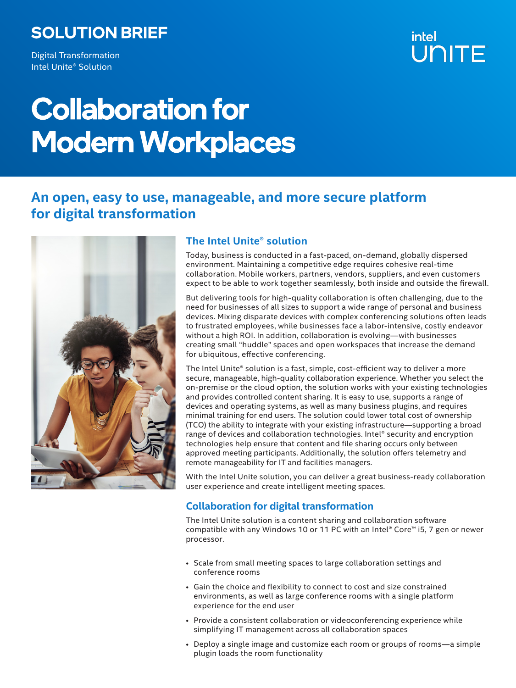# SOLUTION BRIEF

Digital Transformation Intel Unite® Solution

# intel UNITE

# Collaboration for Modern Workplaces

## **An open, easy to use, manageable, and more secure platform for digital transformation**



## **The Intel Unite® solution**

Today, business is conducted in a fast-paced, on-demand, globally dispersed environment. Maintaining a competitive edge requires cohesive real-time collaboration. Mobile workers, partners, vendors, suppliers, and even customers expect to be able to work together seamlessly, both inside and outside the firewall.

But delivering tools for high-quality collaboration is often challenging, due to the need for businesses of all sizes to support a wide range of personal and business devices. Mixing disparate devices with complex conferencing solutions often leads to frustrated employees, while businesses face a labor-intensive, costly endeavor without a high ROI. In addition, collaboration is evolving—with businesses creating small "huddle" spaces and open workspaces that increase the demand for ubiquitous, effective conferencing.

The Intel Unite® solution is a fast, simple, cost-efficient way to deliver a more secure, manageable, high-quality collaboration experience. Whether you select the on-premise or the cloud option, the solution works with your existing technologies and provides controlled content sharing. It is easy to use, supports a range of devices and operating systems, as well as many business plugins, and requires minimal training for end users. The solution could lower total cost of ownership (TCO) the ability to integrate with your existing infrastructure—supporting a broad range of devices and collaboration technologies. Intel® security and encryption technologies help ensure that content and file sharing occurs only between approved meeting participants. Additionally, the solution offers telemetry and remote manageability for IT and facilities managers.

With the Intel Unite solution, you can deliver a great business-ready collaboration user experience and create intelligent meeting spaces.

## **Collaboration for digital transformation**

The Intel Unite solution is a content sharing and collaboration software compatible with any Windows 10 or 11 PC with an Intel® Core™ i5, 7 gen or newer processor.

- Scale from small meeting spaces to large collaboration settings and conference rooms
- Gain the choice and flexibility to connect to cost and size constrained environments, as well as large conference rooms with a single platform experience for the end user
- Provide a consistent collaboration or videoconferencing experience while simplifying IT management across all collaboration spaces
- Deploy a single image and customize each room or groups of rooms—a simple plugin loads the room functionality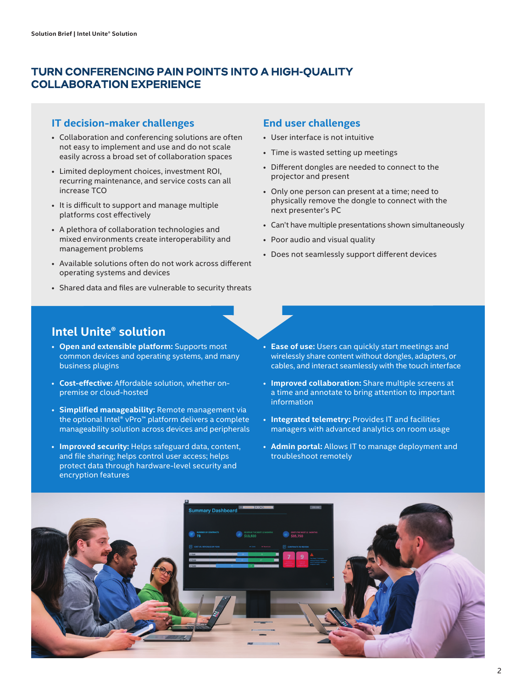## TURN CONFERENCING PAIN POINTS INTO A HIGH-QUALITY COLLABORATION EXPERIENCE

### **IT decision-maker challenges**

- Collaboration and conferencing solutions are often not easy to implement and use and do not scale easily across a broad set of collaboration spaces
- Limited deployment choices, investment ROI, recurring maintenance, and service costs can all increase TCO
- It is difficult to support and manage multiple platforms cost effectively
- A plethora of collaboration technologies and mixed environments create interoperability and management problems
- Available solutions often do not work across different operating systems and devices
- Shared data and files are vulnerable to security threats

#### **End user challenges**

- User interface is not intuitive
- Time is wasted setting up meetings
- Different dongles are needed to connect to the projector and present
- Only one person can present at a time; need to physically remove the dongle to connect with the next presenter's PC
- Can't have multiple presentations shown simultaneously
- Poor audio and visual quality
- Does not seamlessly support different devices

## **Intel Unite® solution**

- **Open and extensible platform:** Supports most common devices and operating systems, and many business plugins
- **Cost-effective:** Affordable solution, whether onpremise or cloud-hosted
- **Simplified manageability:** Remote management via the optional Intel® vPro™ platform delivers a complete manageability solution across devices and peripherals
- **Improved security:** Helps safeguard data, content, and file sharing; helps control user access; helps protect data through hardware-level security and encryption features
- **Ease of use:** Users can quickly start meetings and wirelessly share content without dongles, adapters, or cables, and interact seamlessly with the touch interface
- **Improved collaboration:** Share multiple screens at a time and annotate to bring attention to important information
- **Integrated telemetry:** Provides IT and facilities managers with advanced analytics on room usage
- **Admin portal:** Allows IT to manage deployment and troubleshoot remotely

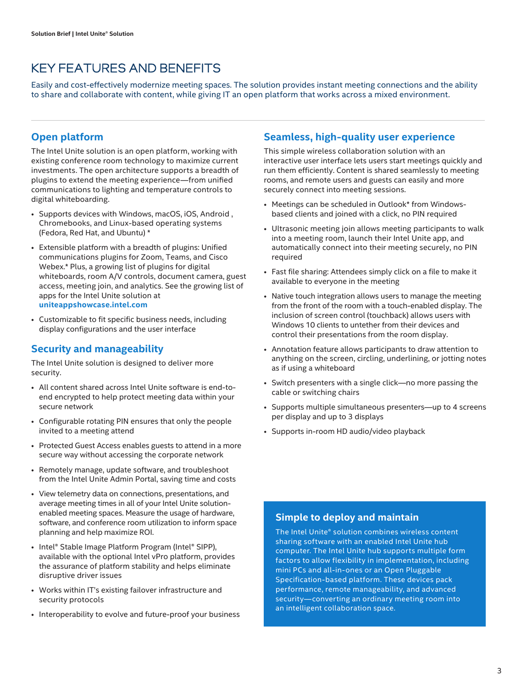## KEY FEATURES AND BENEFITS

Easily and cost-effectively modernize meeting spaces. The solution provides instant meeting connections and the ability to share and collaborate with content, while giving IT an open platform that works across a mixed environment.

## **Open platform**

The Intel Unite solution is an open platform, working with existing conference room technology to maximize current investments. The open architecture supports a breadth of plugins to extend the meeting experience—from unified communications to lighting and temperature controls to digital whiteboarding.

- Supports devices with Windows, macOS, iOS, Android , Chromebooks, and Linux-based operating systems (Fedora, Red Hat, and Ubuntu) \*
- Extensible platform with a breadth of plugins: Unified communications plugins for Zoom, Teams, and Cisco Webex.\* Plus, a growing list of plugins for digital whiteboards, room A/V controls, document camera, guest access, meeting join, and analytics. See the growing list of apps for the Intel Unite solution at **[uniteappshowcase.intel.com](https://uniteappshowcase.intel.com/)**
- Customizable to fit specific business needs, including display configurations and the user interface

## **Security and manageability**

The Intel Unite solution is designed to deliver more security.

- All content shared across Intel Unite software is end-toend encrypted to help protect meeting data within your secure network
- Configurable rotating PIN ensures that only the people invited to a meeting attend
- Protected Guest Access enables guests to attend in a more secure way without accessing the corporate network
- Remotely manage, update software, and troubleshoot from the Intel Unite Admin Portal, saving time and costs
- View telemetry data on connections, presentations, and average meeting times in all of your Intel Unite solutionenabled meeting spaces. Measure the usage of hardware, software, and conference room utilization to inform space planning and help maximize ROI.
- Intel® Stable Image Platform Program (Intel® SIPP), available with the optional Intel vPro platform, provides the assurance of platform stability and helps eliminate disruptive driver issues
- Works within IT's existing failover infrastructure and security protocols
- Interoperability to evolve and future-proof your business

## **Seamless, high-quality user experience**

This simple wireless collaboration solution with an interactive user interface lets users start meetings quickly and run them efficiently. Content is shared seamlessly to meeting rooms, and remote users and guests can easily and more securely connect into meeting sessions.

- Meetings can be scheduled in Outlook\* from Windowsbased clients and joined with a click, no PIN required
- Ultrasonic meeting join allows meeting participants to walk into a meeting room, launch their Intel Unite app, and automatically connect into their meeting securely, no PIN required
- Fast file sharing: Attendees simply click on a file to make it available to everyone in the meeting
- Native touch integration allows users to manage the meeting from the front of the room with a touch-enabled display. The inclusion of screen control (touchback) allows users with Windows 10 clients to untether from their devices and control their presentations from the room display.
- Annotation feature allows participants to draw attention to anything on the screen, circling, underlining, or jotting notes as if using a whiteboard
- Switch presenters with a single click—no more passing the cable or switching chairs
- Supports multiple simultaneous presenters—up to 4 screens per display and up to 3 displays
- Supports in-room HD audio/video playback

## **Simple to deploy and maintain**

The Intel Unite® solution combines wireless content sharing software with an enabled Intel Unite hub computer. The Intel Unite hub supports multiple form factors to allow flexibility in implementation, including mini PCs and all-in-ones or an Open Pluggable Specification-based platform. These devices pack performance, remote manageability, and advanced security—converting an ordinary meeting room into an intelligent collaboration space.